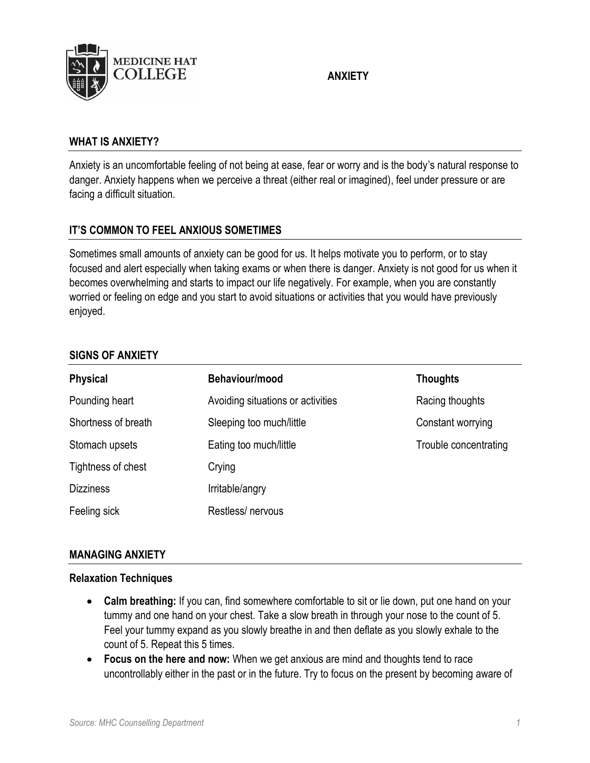

# **ANXIETY**

#### **WHAT IS ANXIETY?**

Anxiety is an uncomfortable feeling of not being at ease, fear or worry and is the body's natural response to danger. Anxiety happens when we perceive a threat (either real or imagined), feel under pressure or are facing a difficult situation.

## **IT'S COMMON TO FEEL ANXIOUS SOMETIMES**

Sometimes small amounts of anxiety can be good for us. It helps motivate you to perform, or to stay focused and alert especially when taking exams or when there is danger. Anxiety is not good for us when it becomes overwhelming and starts to impact our life negatively. For example, when you are constantly worried or feeling on edge and you start to avoid situations or activities that you would have previously enjoyed.

#### **SIGNS OF ANXIETY**

| <b>Physical</b>     | Behaviour/mood                    | <b>Thoughts</b>       |
|---------------------|-----------------------------------|-----------------------|
| Pounding heart      | Avoiding situations or activities | Racing thoughts       |
| Shortness of breath | Sleeping too much/little          | Constant worrying     |
| Stomach upsets      | Eating too much/little            | Trouble concentrating |
| Tightness of chest  | Crying                            |                       |
| <b>Dizziness</b>    | Irritable/angry                   |                       |
| Feeling sick        | Restless/nervous                  |                       |

#### **MANAGING ANXIETY**

#### **Relaxation Techniques**

- **Calm breathing:** If you can, find somewhere comfortable to sit or lie down, put one hand on your tummy and one hand on your chest. Take a slow breath in through your nose to the count of 5. Feel your tummy expand as you slowly breathe in and then deflate as you slowly exhale to the count of 5. Repeat this 5 times.
- **Focus on the here and now:** When we get anxious are mind and thoughts tend to race uncontrollably either in the past or in the future. Try to focus on the present by becoming aware of